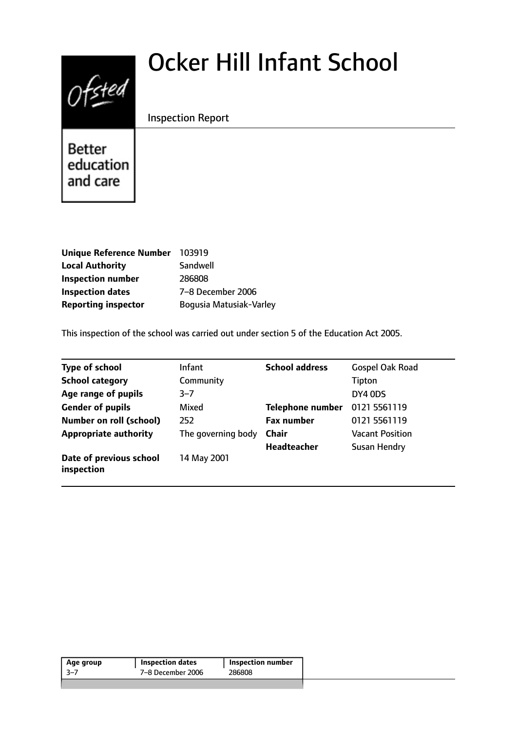# Ocker Hill Infant School



Inspection Report

Better education and care

| <b>Unique Reference Number</b> | 103919                  |
|--------------------------------|-------------------------|
| <b>Local Authority</b>         | Sandwell                |
| <b>Inspection number</b>       | 286808                  |
| <b>Inspection dates</b>        | 7-8 December 2006       |
| <b>Reporting inspector</b>     | Bogusia Matusiak-Varley |

This inspection of the school was carried out under section 5 of the Education Act 2005.

| <b>Type of school</b>                 | <b>Infant</b>      | <b>School address</b>   | <b>Gospel Oak Road</b> |
|---------------------------------------|--------------------|-------------------------|------------------------|
| <b>School category</b>                | Community          |                         | Tipton                 |
| Age range of pupils                   | $3 - 7$            |                         | DY4 ODS                |
| <b>Gender of pupils</b>               | Mixed              | <b>Telephone number</b> | 0121 5561119           |
| <b>Number on roll (school)</b>        | 252                | <b>Fax number</b>       | 0121 5561119           |
| <b>Appropriate authority</b>          | The governing body | <b>Chair</b>            | <b>Vacant Position</b> |
|                                       |                    | <b>Headteacher</b>      | <b>Susan Hendry</b>    |
| Date of previous school<br>inspection | 14 May 2001        |                         |                        |

| Age group | <b>Inspection dates</b> | Inspection number |
|-----------|-------------------------|-------------------|
| -3–7      | 7–8 December 2006       | 286808            |
|           |                         |                   |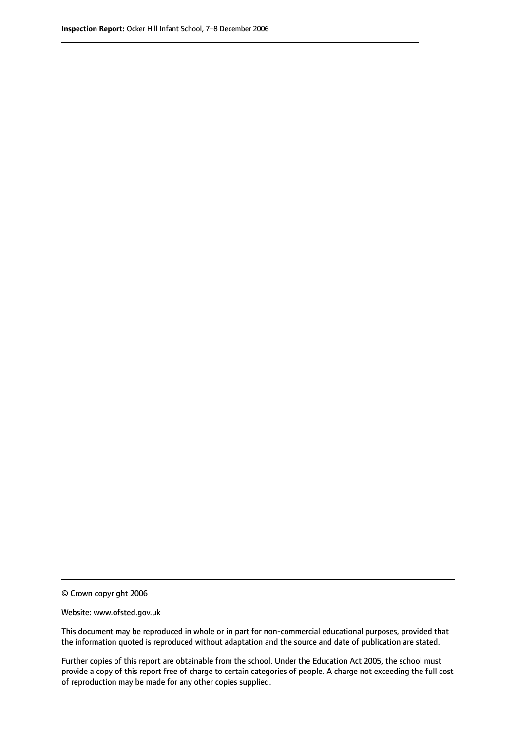© Crown copyright 2006

Website: www.ofsted.gov.uk

This document may be reproduced in whole or in part for non-commercial educational purposes, provided that the information quoted is reproduced without adaptation and the source and date of publication are stated.

Further copies of this report are obtainable from the school. Under the Education Act 2005, the school must provide a copy of this report free of charge to certain categories of people. A charge not exceeding the full cost of reproduction may be made for any other copies supplied.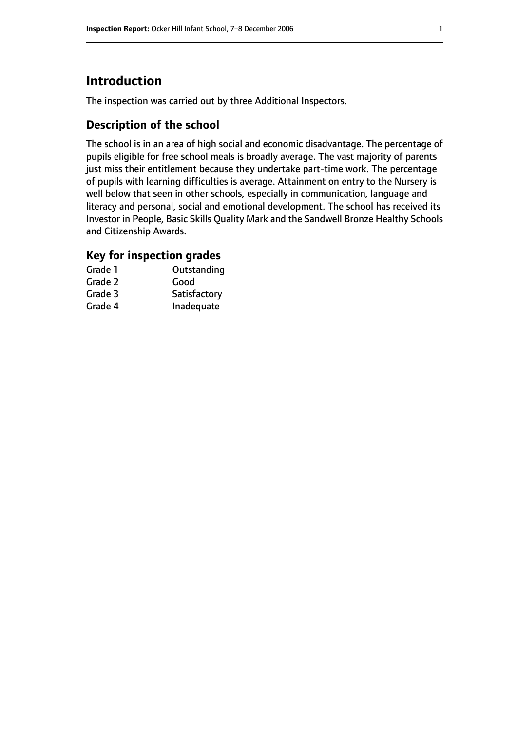# **Introduction**

The inspection was carried out by three Additional Inspectors.

#### **Description of the school**

The school is in an area of high social and economic disadvantage. The percentage of pupils eligible for free school meals is broadly average. The vast majority of parents just miss their entitlement because they undertake part-time work. The percentage of pupils with learning difficulties is average. Attainment on entry to the Nursery is well below that seen in other schools, especially in communication, language and literacy and personal, social and emotional development. The school has received its Investor in People, Basic Skills Quality Mark and the Sandwell Bronze Healthy Schools and Citizenship Awards.

#### **Key for inspection grades**

| Grade 1 | Outstanding  |
|---------|--------------|
| Grade 2 | Good         |
| Grade 3 | Satisfactory |
| Grade 4 | Inadequate   |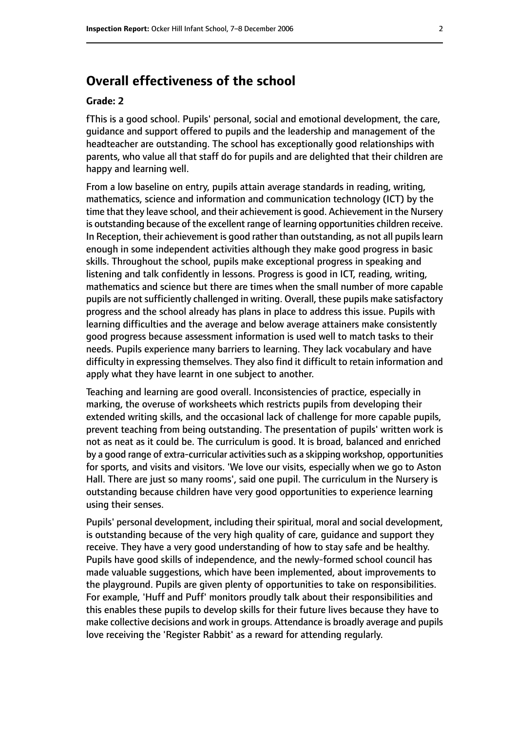**Overall effectiveness of the school**

#### **Grade: 2**

fThis is a good school. Pupils' personal, social and emotional development, the care, guidance and support offered to pupils and the leadership and management of the headteacher are outstanding. The school has exceptionally good relationships with parents, who value all that staff do for pupils and are delighted that their children are happy and learning well.

From a low baseline on entry, pupils attain average standards in reading, writing, mathematics, science and information and communication technology (ICT) by the time that they leave school, and their achievement is good. Achievement in the Nursery is outstanding because of the excellent range of learning opportunities children receive. In Reception, their achievement is good rather than outstanding, as not all pupils learn enough in some independent activities although they make good progress in basic skills. Throughout the school, pupils make exceptional progress in speaking and listening and talk confidently in lessons. Progress is good in ICT, reading, writing, mathematics and science but there are times when the small number of more capable pupils are not sufficiently challenged in writing. Overall, these pupils make satisfactory progress and the school already has plans in place to address this issue. Pupils with learning difficulties and the average and below average attainers make consistently good progress because assessment information is used well to match tasks to their needs. Pupils experience many barriers to learning. They lack vocabulary and have difficulty in expressing themselves. They also find it difficult to retain information and apply what they have learnt in one subject to another.

Teaching and learning are good overall. Inconsistencies of practice, especially in marking, the overuse of worksheets which restricts pupils from developing their extended writing skills, and the occasional lack of challenge for more capable pupils, prevent teaching from being outstanding. The presentation of pupils' written work is not as neat as it could be. The curriculum is good. It is broad, balanced and enriched by a good range of extra-curricular activities such as a skipping workshop, opportunities for sports, and visits and visitors. 'We love our visits, especially when we go to Aston Hall. There are just so many rooms', said one pupil. The curriculum in the Nursery is outstanding because children have very good opportunities to experience learning using their senses.

Pupils' personal development, including their spiritual, moral and social development, is outstanding because of the very high quality of care, guidance and support they receive. They have a very good understanding of how to stay safe and be healthy. Pupils have good skills of independence, and the newly-formed school council has made valuable suggestions, which have been implemented, about improvements to the playground. Pupils are given plenty of opportunities to take on responsibilities. For example, 'Huff and Puff' monitors proudly talk about their responsibilities and this enables these pupils to develop skills for their future lives because they have to make collective decisions and work in groups. Attendance is broadly average and pupils love receiving the 'Register Rabbit' as a reward for attending regularly.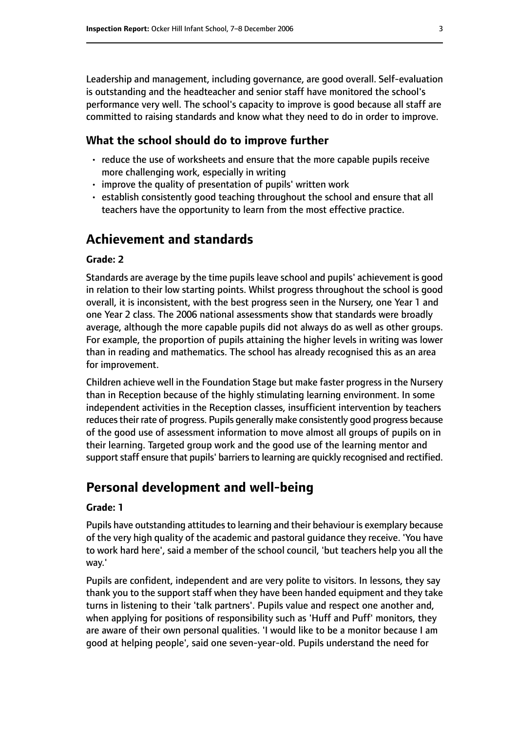Leadership and management, including governance, are good overall. Self-evaluation is outstanding and the headteacher and senior staff have monitored the school's performance very well. The school's capacity to improve is good because all staff are committed to raising standards and know what they need to do in order to improve.

#### **What the school should do to improve further**

- reduce the use of worksheets and ensure that the more capable pupils receive more challenging work, especially in writing
- improve the quality of presentation of pupils' written work
- establish consistently good teaching throughout the school and ensure that all teachers have the opportunity to learn from the most effective practice.

## **Achievement and standards**

#### **Grade: 2**

Standards are average by the time pupils leave school and pupils' achievement is good in relation to their low starting points. Whilst progress throughout the school is good overall, it is inconsistent, with the best progress seen in the Nursery, one Year 1 and one Year 2 class. The 2006 national assessments show that standards were broadly average, although the more capable pupils did not always do as well as other groups. For example, the proportion of pupils attaining the higher levels in writing was lower than in reading and mathematics. The school has already recognised this as an area for improvement.

Children achieve well in the Foundation Stage but make faster progress in the Nursery than in Reception because of the highly stimulating learning environment. In some independent activities in the Reception classes, insufficient intervention by teachers reduces their rate of progress. Pupils generally make consistently good progress because of the good use of assessment information to move almost all groups of pupils on in their learning. Targeted group work and the good use of the learning mentor and support staff ensure that pupils' barriers to learning are quickly recognised and rectified.

### **Personal development and well-being**

#### **Grade: 1**

Pupils have outstanding attitudes to learning and their behaviour is exemplary because of the very high quality of the academic and pastoral guidance they receive. 'You have to work hard here', said a member of the school council, 'but teachers help you all the way.'

Pupils are confident, independent and are very polite to visitors. In lessons, they say thank you to the support staff when they have been handed equipment and they take turns in listening to their 'talk partners'. Pupils value and respect one another and, when applying for positions of responsibility such as 'Huff and Puff' monitors, they are aware of their own personal qualities. 'I would like to be a monitor because I am good at helping people', said one seven-year-old. Pupils understand the need for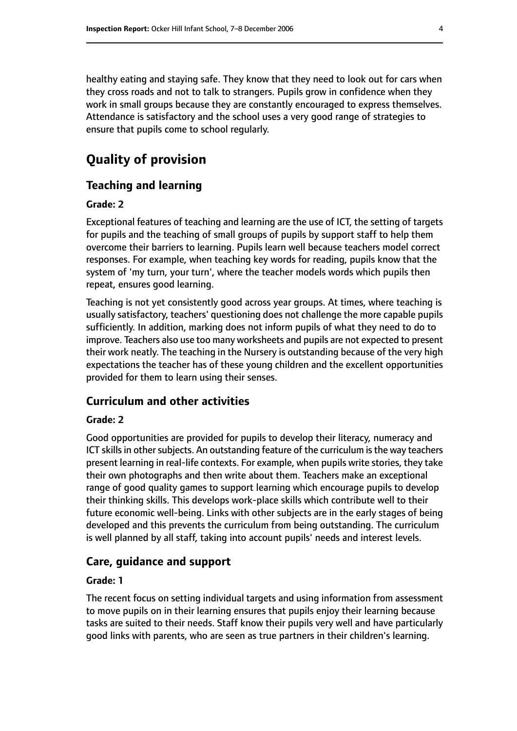healthy eating and staying safe. They know that they need to look out for cars when they cross roads and not to talk to strangers. Pupils grow in confidence when they work in small groups because they are constantly encouraged to express themselves. Attendance is satisfactory and the school uses a very good range of strategies to ensure that pupils come to school regularly.

# **Quality of provision**

#### **Teaching and learning**

#### **Grade: 2**

Exceptional features of teaching and learning are the use of ICT, the setting of targets for pupils and the teaching of small groups of pupils by support staff to help them overcome their barriers to learning. Pupils learn well because teachers model correct responses. For example, when teaching key words for reading, pupils know that the system of 'my turn, your turn', where the teacher models words which pupils then repeat, ensures good learning.

Teaching is not yet consistently good across year groups. At times, where teaching is usually satisfactory, teachers' questioning does not challenge the more capable pupils sufficiently. In addition, marking does not inform pupils of what they need to do to improve. Teachers also use too many worksheets and pupils are not expected to present their work neatly. The teaching in the Nursery is outstanding because of the very high expectations the teacher has of these young children and the excellent opportunities provided for them to learn using their senses.

#### **Curriculum and other activities**

#### **Grade: 2**

Good opportunities are provided for pupils to develop their literacy, numeracy and ICT skills in other subjects. An outstanding feature of the curriculum is the way teachers present learning in real-life contexts. For example, when pupils write stories, they take their own photographs and then write about them. Teachers make an exceptional range of good quality games to support learning which encourage pupils to develop their thinking skills. This develops work-place skills which contribute well to their future economic well-being. Links with other subjects are in the early stages of being developed and this prevents the curriculum from being outstanding. The curriculum is well planned by all staff, taking into account pupils' needs and interest levels.

#### **Care, guidance and support**

#### **Grade: 1**

The recent focus on setting individual targets and using information from assessment to move pupils on in their learning ensures that pupils enjoy their learning because tasks are suited to their needs. Staff know their pupils very well and have particularly good links with parents, who are seen as true partners in their children's learning.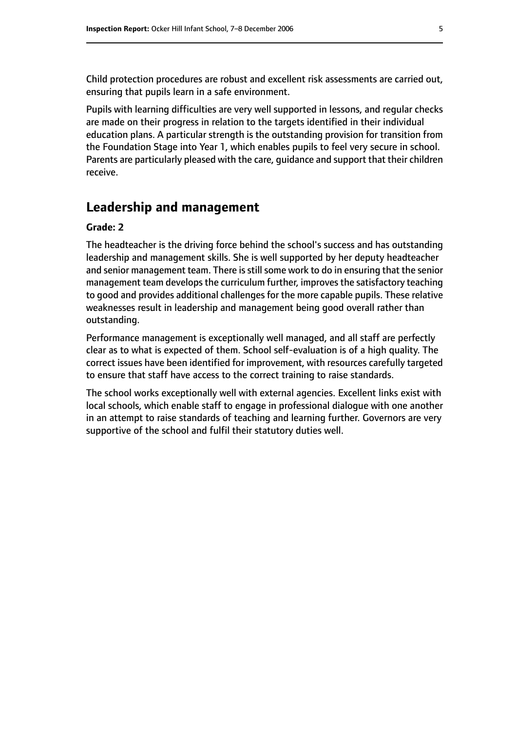Child protection procedures are robust and excellent risk assessments are carried out, ensuring that pupils learn in a safe environment.

Pupils with learning difficulties are very well supported in lessons, and regular checks are made on their progress in relation to the targets identified in their individual education plans. A particular strength is the outstanding provision for transition from the Foundation Stage into Year 1, which enables pupils to feel very secure in school. Parents are particularly pleased with the care, guidance and support that their children receive.

### **Leadership and management**

#### **Grade: 2**

The headteacher is the driving force behind the school's success and has outstanding leadership and management skills. She is well supported by her deputy headteacher and senior management team. There is still some work to do in ensuring that the senior management team develops the curriculum further, improves the satisfactory teaching to good and provides additional challenges for the more capable pupils. These relative weaknesses result in leadership and management being good overall rather than outstanding.

Performance management is exceptionally well managed, and all staff are perfectly clear as to what is expected of them. School self-evaluation is of a high quality. The correct issues have been identified for improvement, with resources carefully targeted to ensure that staff have access to the correct training to raise standards.

The school works exceptionally well with external agencies. Excellent links exist with local schools, which enable staff to engage in professional dialogue with one another in an attempt to raise standards of teaching and learning further. Governors are very supportive of the school and fulfil their statutory duties well.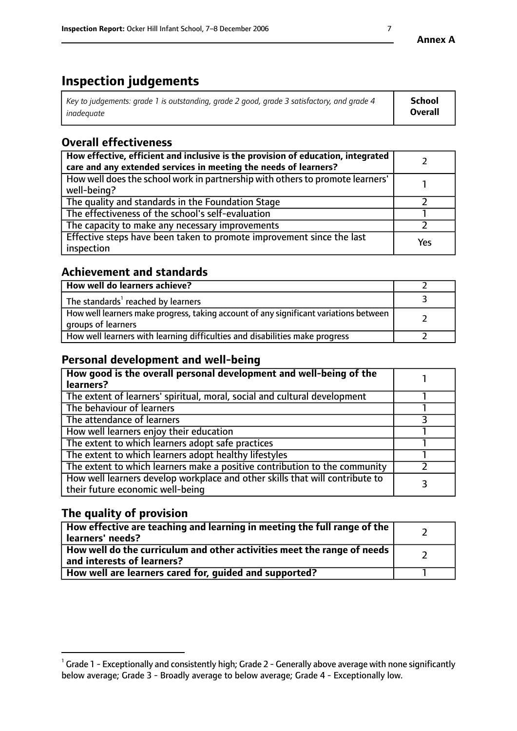# **Inspection judgements**

| Key to judgements: grade 1 is outstanding, grade 2 good, grade 3 satisfactory, and grade 4 | School         |
|--------------------------------------------------------------------------------------------|----------------|
| inadeauate                                                                                 | <b>Overall</b> |

# **Overall effectiveness**

| How effective, efficient and inclusive is the provision of education, integrated<br>care and any extended services in meeting the needs of learners? |     |
|------------------------------------------------------------------------------------------------------------------------------------------------------|-----|
| How well does the school work in partnership with others to promote learners'<br>well-being?                                                         |     |
| The quality and standards in the Foundation Stage                                                                                                    |     |
| The effectiveness of the school's self-evaluation                                                                                                    |     |
| The capacity to make any necessary improvements                                                                                                      |     |
| Effective steps have been taken to promote improvement since the last<br>inspection                                                                  | Yes |

#### **Achievement and standards**

| How well do learners achieve?                                                                               |  |
|-------------------------------------------------------------------------------------------------------------|--|
| The standards <sup>1</sup> reached by learners                                                              |  |
| How well learners make progress, taking account of any significant variations between<br>groups of learners |  |
| How well learners with learning difficulties and disabilities make progress                                 |  |

#### **Personal development and well-being**

| How good is the overall personal development and well-being of the<br>learners?                                  |  |
|------------------------------------------------------------------------------------------------------------------|--|
| The extent of learners' spiritual, moral, social and cultural development                                        |  |
| The behaviour of learners                                                                                        |  |
| The attendance of learners                                                                                       |  |
| How well learners enjoy their education                                                                          |  |
| The extent to which learners adopt safe practices                                                                |  |
| The extent to which learners adopt healthy lifestyles                                                            |  |
| The extent to which learners make a positive contribution to the community                                       |  |
| How well learners develop workplace and other skills that will contribute to<br>their future economic well-being |  |

### **The quality of provision**

| How effective are teaching and learning in meeting the full range of the<br>learners' needs?          |  |
|-------------------------------------------------------------------------------------------------------|--|
| How well do the curriculum and other activities meet the range of needs<br>and interests of learners? |  |
| How well are learners cared for, guided and supported?                                                |  |

 $^1$  Grade 1 - Exceptionally and consistently high; Grade 2 - Generally above average with none significantly below average; Grade 3 - Broadly average to below average; Grade 4 - Exceptionally low.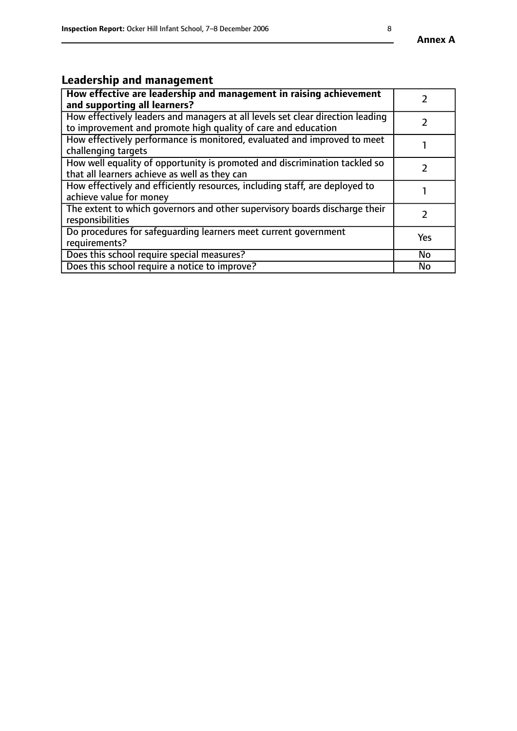# **Leadership and management**

| How effective are leadership and management in raising achievement<br>and supporting all learners?                                              |           |
|-------------------------------------------------------------------------------------------------------------------------------------------------|-----------|
| How effectively leaders and managers at all levels set clear direction leading<br>to improvement and promote high quality of care and education |           |
| How effectively performance is monitored, evaluated and improved to meet<br>challenging targets                                                 |           |
| How well equality of opportunity is promoted and discrimination tackled so<br>that all learners achieve as well as they can                     |           |
| How effectively and efficiently resources, including staff, are deployed to<br>achieve value for money                                          |           |
| The extent to which governors and other supervisory boards discharge their<br>responsibilities                                                  |           |
| Do procedures for safequarding learners meet current government<br>requirements?                                                                | Yes       |
| Does this school require special measures?                                                                                                      | <b>No</b> |
| Does this school require a notice to improve?                                                                                                   | <b>No</b> |